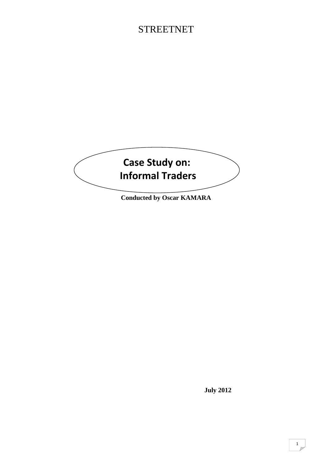# **STREETNET**



**Conducted by Oscar KAMARA** 

 **July 2012**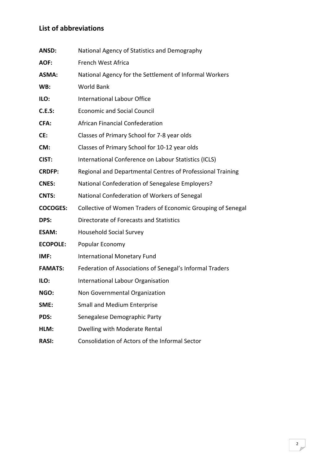### **List of abbreviations**

| ANSD:           | National Agency of Statistics and Demography                |
|-----------------|-------------------------------------------------------------|
| <b>AOF:</b>     | French West Africa                                          |
| <b>ASMA:</b>    | National Agency for the Settlement of Informal Workers      |
| WB:             | <b>World Bank</b>                                           |
| ILO:            | <b>International Labour Office</b>                          |
| <b>C.E.S:</b>   | <b>Economic and Social Council</b>                          |
| CFA:            | <b>African Financial Confederation</b>                      |
| CE:             | Classes of Primary School for 7-8 year olds                 |
| CM:             | Classes of Primary School for 10-12 year olds               |
| CIST:           | International Conference on Labour Statistics (ICLS)        |
| <b>CRDFP:</b>   | Regional and Departmental Centres of Professional Training  |
| <b>CNES:</b>    | National Confederation of Senegalese Employers?             |
| <b>CNTS:</b>    | National Confederation of Workers of Senegal                |
| <b>COCOGES:</b> | Collective of Women Traders of Economic Grouping of Senegal |
| DPS:            | Directorate of Forecasts and Statistics                     |
| <b>ESAM:</b>    | <b>Household Social Survey</b>                              |
| <b>ECOPOLE:</b> | Popular Economy                                             |
| IMF:            | International Monetary Fund                                 |
| <b>FAMATS:</b>  | Federation of Associations of Senegal's Informal Traders    |
| ILO:            | International Labour Organisation                           |
| NGO:            | Non Governmental Organization                               |
| SME:            | <b>Small and Medium Enterprise</b>                          |
| PDS:            | Senegalese Demographic Party                                |
| HLM:            | Dwelling with Moderate Rental                               |
| <b>RASI:</b>    | Consolidation of Actors of the Informal Sector              |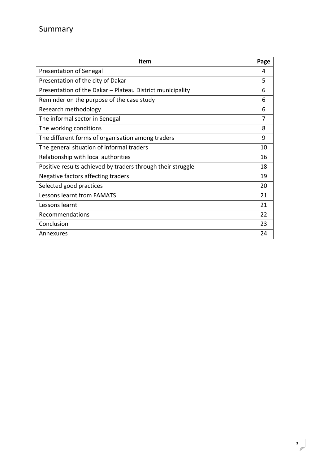| <b>Item</b>                                                 | Page |
|-------------------------------------------------------------|------|
| Presentation of Senegal                                     |      |
| Presentation of the city of Dakar                           |      |
| Presentation of the Dakar - Plateau District municipality   |      |
| Reminder on the purpose of the case study                   | 6    |
| Research methodology                                        | 6    |
| The informal sector in Senegal                              | 7    |
| The working conditions                                      | 8    |
| The different forms of organisation among traders           | 9    |
| The general situation of informal traders                   | 10   |
| Relationship with local authorities                         | 16   |
| Positive results achieved by traders through their struggle | 18   |
| Negative factors affecting traders                          | 19   |
| Selected good practices                                     | 20   |
| Lessons learnt from FAMATS                                  | 21   |
| Lessons learnt                                              | 21   |
| Recommendations                                             |      |
| Conclusion                                                  | 23   |
| Annexures                                                   | 24   |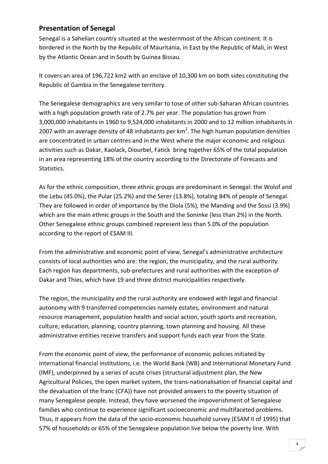### **Presentation of Senegal**

Senegal is a Sahelian country situated at the westernmost of the African continent. It is bordered in the North by the Republic of Mauritania, in East by the Republic of Mali, in West by the Atlantic Ocean and in South by Guinea Bissau.

It covers an area of 196,722 km2 with an enclave of 10,300 km on both sides constituting the Republic of Gambia in the Senegalese territory.

The Senegalese demographics are very similar to tose of other sub‐Saharan African countries with a high population growth rate of 2.7% per year. The population has grown from 3,000,000 inhabitants in 1960 to 9,524,000 inhabitants in 2000 and to 12 million inhabitants in 2007 with an average density of 48 inhabitants per km<sup>2</sup>. The high human population densities are concentrated in urban centres and in the West where the major economic and religious activities such as Dakar, Kaolack, Diourbel, Fatick bring together 65% of the total population in an area representing 18% of the country according to the Directorate of Forecasts and Statistics.

As for the ethnic composition, three ethnic groups are predominant in Senegal: the Wolof and the Lebu (45.0%), the Pular (25.2%) and the Serer (13.8%), totaling 84% of people of Senegal. They are followed in order of importance by the Diola (5%), the Manding and the Sossi (3.9%) which are the main ethnic groups in the South and the Soninke (less than 2%) in the North. Other Senegalese ethnic groups combined represent less than 5.0% of the population according to the report of ESAM III.

From the administrative and economic point of view, Senegal's administrative architecture consists of local authorities who are: the region, the municipality, and the rural authority. Each region has departments, sub‐prefectures and rural authorities with the exception of Dakar and Thies, which have 19 and three district municipalities respectively.

The region, the municipality and the rural authority are endowed with legal and financial autonomy with 9 transferred competencies namely estates, environment and natural resource management, population health and social action, youth sports and recreation, culture, education, planning, country planning, town planning and housing. All these administrative entities receive transfers and support funds each year from the State.

From the economic point of view, the performance of economic policies initiated by international financial institutions, i.e. the World Bank (WB) and International Monetary Fund (IMF), underpinned by a series of acute crises (structural adjustment plan, the New Agricultural Policies, the open market system, the trans‐nationalisation of financial capital and the devaluation of the franc (CFA)) have not provided answers to the poverty situation of many Senegalese people. Instead, they have worsened the impoverishment of Senegalese families who continue to experience significant socioeconomic and multifaceted problems. Thus, it appears from the data of the socio‐economic household survey (ESAM II of 1995) that 57% of households or 65% of the Senegalese population live below the poverty line. With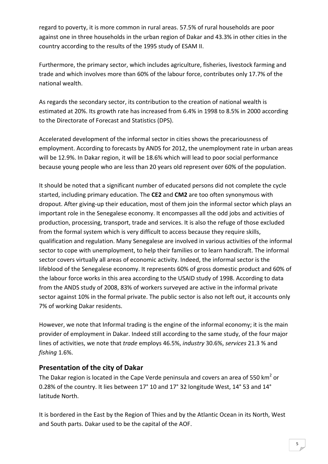regard to poverty, it is more common in rural areas. 57.5% of rural households are poor against one in three households in the urban region of Dakar and 43.3% in other cities in the country according to the results of the 1995 study of ESAM II.

Furthermore, the primary sector, which includes agriculture, fisheries, livestock farming and trade and which involves more than 60% of the labour force, contributes only 17.7% of the national wealth.

As regards the secondary sector, its contribution to the creation of national wealth is estimated at 20%. Its growth rate has increased from 6.4% in 1998 to 8.5% in 2000 according to the Directorate of Forecast and Statistics (DPS).

Accelerated development of the informal sector in cities shows the precariousness of employment. According to forecasts by ANDS for 2012, the unemployment rate in urban areas will be 12.9%. In Dakar region, it will be 18.6% which will lead to poor social performance because young people who are less than 20 years old represent over 60% of the population.

It should be noted that a significant number of educated persons did not complete the cycle started, including primary education. The **CE2** and **CM2** are too often synonymous with dropout. After giving‐up their education, most of them join the informal sector which plays an important role in the Senegalese economy. It encompasses all the odd jobs and activities of production, processing, transport, trade and services. It is also the refuge of those excluded from the formal system which is very difficult to access because they require skills, qualification and regulation. Many Senegalese are involved in various activities of the informal sector to cope with unemployment, to help their families or to learn handicraft. The informal sector covers virtually all areas of economic activity. Indeed, the informal sector is the lifeblood of the Senegalese economy. It represents 60% of gross domestic product and 60% of the labour force works in this area according to the USAID study of 1998. According to data from the ANDS study of 2008, 83% of workers surveyed are active in the informal private sector against 10% in the formal private. The public sector is also not left out, it accounts only 7% of working Dakar residents.

However, we note that Informal trading is the engine of the informal economy; it is the main provider of employment in Dakar. Indeed still according to the same study, of the four major lines of activities, we note that *trade* employs 46.5%, *industry* 30.6%, *services* 21.3 % and *fishing* 1.6%.

### **Presentation of the city of Dakar**

The Dakar region is located in the Cape Verde peninsula and covers an area of 550  $km^2$  or 0.28% of the country. It lies between 17° 10 and 17° 32 longitude West, 14° 53 and 14° latitude North.

It is bordered in the East by the Region of Thies and by the Atlantic Ocean in its North, West and South parts. Dakar used to be the capital of the AOF.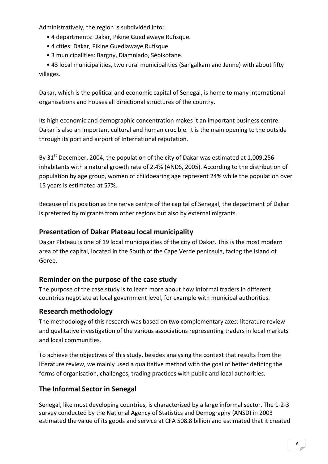Administratively, the region is subdivided into:

- 4 departments: Dakar, Pikine Guediawaye Rufisque.
- 4 cities: Dakar, Pikine Guediawaye Rufisque
- 3 municipalities: Bargny, Diamniado, Sébikotane.

 • 43 local municipalities, two rural municipalities (Sangalkam and Jenne) with about fifty villages.

Dakar, which is the political and economic capital of Senegal, is home to many international organisations and houses all directional structures of the country.

Its high economic and demographic concentration makes it an important business centre. Dakar is also an important cultural and human crucible. It is the main opening to the outside through its port and airport of International reputation.

Bv 31<sup>st</sup> December, 2004, the population of the city of Dakar was estimated at 1,009,256 inhabitants with a natural growth rate of 2.4% (ANDS, 2005). According to the distribution of population by age group, women of childbearing age represent 24% while the population over 15 years is estimated at 57%.

Because of its position as the nerve centre of the capital of Senegal, the department of Dakar is preferred by migrants from other regions but also by external migrants.

### **Presentation of Dakar Plateau local municipality**

Dakar Plateau is one of 19 local municipalities of the city of Dakar. This is the most modern area of the capital, located in the South of the Cape Verde peninsula, facing the island of Goree.

### **Reminder on the purpose of the case study**

The purpose of the case study is to learn more about how informal traders in different countries negotiate at local government level, for example with municipal authorities.

### **Research methodology**

The methodology of this research was based on two complementary axes: literature review and qualitative investigation of the various associations representing traders in local markets and local communities.

To achieve the objectives of this study, besides analysing the context that results from the literature review, we mainly used a qualitative method with the goal of better defining the forms of organisation, challenges, trading practices with public and local authorities.

### **The Informal Sector in Senegal**

Senegal, like most developing countries, is characterised by a large informal sector. The 1‐2‐3 survey conducted by the National Agency of Statistics and Demography (ANSD) in 2003 estimated the value of its goods and service at CFA 508.8 billion and estimated that it created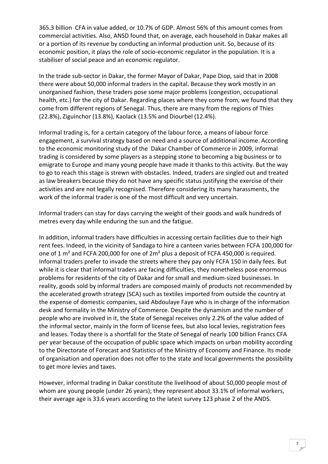365.3 billion CFA in value added, or 10.7% of GDP. Almost 56% of this amount comes from commercial activities. Also, ANSD found that, on average, each household in Dakar makes all or a portion of its revenue by conducting an informal production unit. So, because of its economic position, it plays the role of socio‐economic regulator in the population. It is a stabiliser of social peace and an economic regulator.

In the trade sub‐sector in Dakar, the former Mayor of Dakar, Pape Diop, said that in 2008 there were about 50,000 informal traders in the capital. Because they work mostly in an unorganised fashion, these traders pose some major problems (congestion, occupational health, etc.) for the city of Dakar. Regarding places where they come from, we found that they come from different regions of Senegal. Thus, there are many from the regions of Thies (22.8%), Ziguinchor (13.8%), Kaolack (13.5% and Diourbel (12.4%).

Informal trading is, for a certain category of the labour force, a means of labour force engagement, a survival strategy based on need and a source of additional income. According to the economic monitoring study of the Dakar Chamber of Commerce in 2009, informal trading is considered by some players as a stepping stone to becoming a big business or to emigrate to Europe and many young people have made it thanks to this activity. But the way to go to reach this stage is strewn with obstacles. Indeed, traders are singled out and treated as law breakers because they do not have any specific status justifying the exercise of their activities and are not legally recognised. Therefore considering its many harassments, the work of the informal trader is one of the most difficult and very uncertain.

Informal traders can stay for days carrying the weight of their goods and walk hundreds of metres every day while enduring the sun and the fatigue.

In addition, informal traders have difficulties in accessing certain facilities due to their high rent fees. Indeed, in the vicinity of Sandaga to hire a canteen varies between FCFA 100,000 for one of 1 m² and FCFA 200,000 for one of 2m² plus a deposit of FCFA 450,000 is required. Informal traders prefer to invade the streets where they pay only FCFA 150 in daily fees. But while it is clear that informal traders are facing difficulties, they nonetheless pose enormous problems for residents of the city of Dakar and for small and medium‐sized businesses. In reality, goods sold by informal traders are composed mainly of products not recommended by the accelerated growth strategy (SCA) such as textiles imported from outside the country at the expense of domestic companies, said Abdoulaye Faye who is in charge of the information desk and formality in the Ministry of Commerce. Despite the dynamism and the number of people who are involved in it, the State of Senegal receives only 2.2% of the value added of the informal sector, mainly in the form of license fees, but also local levies, registration fees and leases. Today there is a shortfall for the State of Senegal of nearly 100 billion Francs CFA per year because of the occupation of public space which impacts on urban mobility according to the Directorate of Forecast and Statistics of the Ministry of Economy and Finance. Its mode of organisation and operation does not offer to the state and local governments the possibility to get more levies and taxes.

However, informal trading in Dakar constitute the livelihood of about 50,000 people most of whom are young people (under 26 years); they represent about 33.1% of informal workers, their average age is 33.6 years according to the latest survey 123 phase 2 of the ANDS.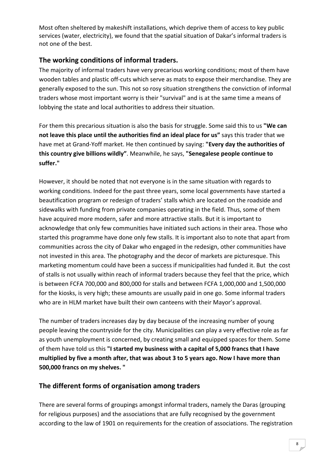Most often sheltered by makeshift installations, which deprive them of access to key public services (water, electricity), we found that the spatial situation of Dakar's informal traders is not one of the best.

### **The working conditions of informal traders.**

The majority of informal traders have very precarious working conditions; most of them have wooden tables and plastic off-cuts which serve as mats to expose their merchandise. They are generally exposed to the sun. This not so rosy situation strengthens the conviction of informal traders whose most important worry is their "survival" and is at the same time a means of lobbying the state and local authorities to address their situation.

For them this precarious situation is also the basis for struggle. Some said this to us **"We can not leave this place until the authorities find an ideal place for us"** says this trader that we have met at Grand‐Yoff market. He then continued by saying: **"Every day the authorities of this country give billions wildly"**. Meanwhile, he says, **"Senegalese people continue to suffer."**

However, it should be noted that not everyone is in the same situation with regards to working conditions. Indeed for the past three years, some local governments have started a beautification program or redesign of traders' stalls which are located on the roadside and sidewalks with funding from private companies operating in the field. Thus, some of them have acquired more modern, safer and more attractive stalls. But it is important to acknowledge that only few communities have initiated such actions in their area. Those who started this programme have done only few stalls. It is important also to note that apart from communities across the city of Dakar who engaged in the redesign, other communities have not invested in this area. The photography and the decor of markets are picturesque. This marketing momentum could have been a success if municipalities had funded it. But the cost of stalls is not usually within reach of informal traders because they feel that the price, which is between FCFA 700,000 and 800,000 for stalls and between FCFA 1,000,000 and 1,500,000 for the kiosks, is very high; these amounts are usually paid in one go. Some informal traders who are in HLM market have built their own canteens with their Mayor's approval.

The number of traders increases day by day because of the increasing number of young people leaving the countryside for the city. Municipalities can play a very effective role as far as youth unemployment is concerned, by creating small and equipped spaces for them. Some of them have told us this **"I started my business with a capital of 5,000 francs that I have multiplied by five a month after, that was about 3 to 5 years ago. Now I have more than 500,000 francs on my shelves. "**

### **The different forms of organisation among traders**

There are several forms of groupings amongst informal traders, namely the Daras (grouping for religious purposes) and the associations that are fully recognised by the government according to the law of 1901 on requirements for the creation of associations. The registration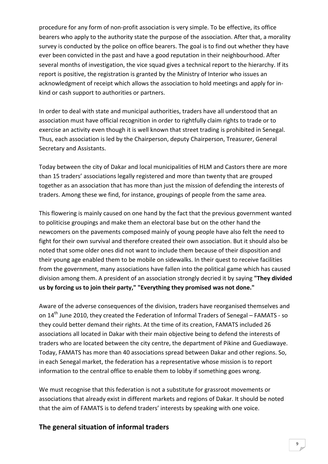procedure for any form of non‐profit association is very simple. To be effective, its office bearers who apply to the authority state the purpose of the association. After that, a morality survey is conducted by the police on office bearers. The goal is to find out whether they have ever been convicted in the past and have a good reputation in their neighbourhood. After several months of investigation, the vice squad gives a technical report to the hierarchy. If its report is positive, the registration is granted by the Ministry of Interior who issues an acknowledgment of receipt which allows the association to hold meetings and apply for in‐ kind or cash support to authorities or partners.

In order to deal with state and municipal authorities, traders have all understood that an association must have official recognition in order to rightfully claim rights to trade or to exercise an activity even though it is well known that street trading is prohibited in Senegal. Thus, each association is led by the Chairperson, deputy Chairperson, Treasurer, General Secretary and Assistants.

Today between the city of Dakar and local municipalities of HLM and Castors there are more than 15 traders' associations legally registered and more than twenty that are grouped together as an association that has more than just the mission of defending the interests of traders. Among these we find, for instance, groupings of people from the same area.

This flowering is mainly caused on one hand by the fact that the previous government wanted to politicise groupings and make them an electoral base but on the other hand the newcomers on the pavements composed mainly of young people have also felt the need to fight for their own survival and therefore created their own association. But it should also be noted that some older ones did not want to include them because of their disposition and their young age enabled them to be mobile on sidewalks. In their quest to receive facilities from the government, many associations have fallen into the political game which has caused division among them. A president of an association strongly decried it by saying **"They divided us by forcing us to join their party," "Everything they promised was not done."**

Aware of the adverse consequences of the division, traders have reorganised themselves and on 14<sup>th</sup> June 2010, they created the Federation of Informal Traders of Senegal – FAMATS - so they could better demand their rights. At the time of its creation, FAMATS included 26 associations all located in Dakar with their main objective being to defend the interests of traders who are located between the city centre, the department of Pikine and Guediawaye. Today, FAMATS has more than 40 associations spread between Dakar and other regions. So, in each Senegal market, the federation has a representative whose mission is to report information to the central office to enable them to lobby if something goes wrong.

We must recognise that this federation is not a substitute for grassroot movements or associations that already exist in different markets and regions of Dakar. It should be noted that the aim of FAMATS is to defend traders' interests by speaking with one voice.

### **The general situation of informal traders**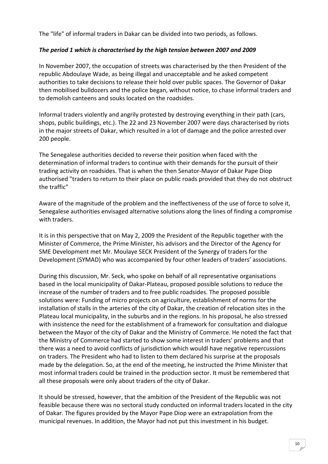The "life" of informal traders in Dakar can be divided into two periods, as follows.

#### *The period 1 which is characterised by the high tension between 2007 and 2009*

In November 2007, the occupation of streets was characterised by the then President of the republic Abdoulaye Wade, as being illegal and unacceptable and he asked competent authorities to take decisions to release their hold over public spaces. The Governor of Dakar then mobilised bulldozers and the police began, without notice, to chase informal traders and to demolish canteens and souks located on the roadsides.

Informal traders violently and angrily protested by destroying everything in their path (cars, shops, public buildings, etc.). The 22 and 23 November 2007 were days characterised by riots in the major streets of Dakar, which resulted in a lot of damage and the police arrested over 200 people.

The Senegalese authorities decided to reverse their position when faced with the determination of informal traders to continue with their demands for the pursuit of their trading activity on roadsides. That is when the then Senator‐Mayor of Dakar Pape Diop authorised "traders to return to their place on public roads provided that they do not obstruct the traffic"

Aware of the magnitude of the problem and the ineffectiveness of the use of force to solve it, Senegalese authorities envisaged alternative solutions along the lines of finding a compromise with traders.

It is in this perspective that on May 2, 2009 the President of the Republic together with the Minister of Commerce, the Prime Minister, his advisors and the Director of the Agency for SME Development met Mr. Moulaye SECK President of the Synergy of traders for the Development (SYMAD) who was accompanied by four other leaders of traders' associations.

During this discussion, Mr. Seck, who spoke on behalf of all representative organisations based in the local municipality of Dakar‐Plateau, proposed possible solutions to reduce the increase of the number of traders and to free public roadsides. The proposed possible solutions were: Funding of micro projects on agriculture, establishment of norms for the installation of stalls in the arteries of the city of Dakar, the creation of relocation sites in the Plateau local municipality, in the suburbs and in the regions. In his proposal, he also stressed with insistence the need for the establishment of a framework for consultation and dialogue between the Mayor of the city of Dakar and the Ministry of Commerce. He noted the fact that the Ministry of Commerce had started to show some interest in traders' problems and that there was a need to avoid conflicts of jurisdiction which wouldl have negative repercussions on traders. The President who had to listen to them declared his surprise at the proposals made by the delegation. So, at the end of the meeting, he instructed the Prime Minister that most informal traders could be trained in the production sector. It must be remembered that all these proposals were only about traders of the city of Dakar.

It should be stressed, however, that the ambition of the President of the Republic was not feasible because there was no sectoral study conducted on informal traders located in the city of Dakar. The figures provided by the Mayor Pape Diop were an extrapolation from the municipal revenues. In addition, the Mayor had not put this investment in his budget.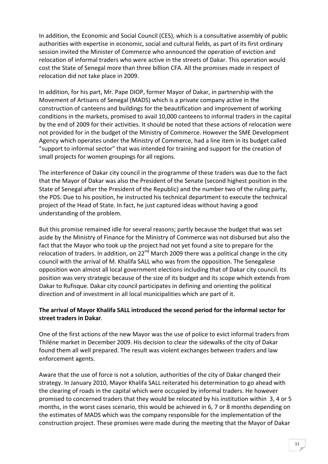In addition, the Economic and Social Council (CES), which is a consultative assembly of public authorities with expertise in economic, social and cultural fields, as part of its first ordinary session invited the Minister of Commerce who announced the operation of eviction and relocation of informal traders who were active in the streets of Dakar. This operation would cost the State of Senegal more than three billion CFA. All the promises made in respect of relocation did not take place in 2009.

In addition, for his part, Mr. Pape DIOP, former Mayor of Dakar, in partnership with the Movement of Artisans of Senegal (MADS) which is a private company active in the construction of canteens and buildings for the beautification and improvement of working conditions in the markets, promised to avail 10,000 canteens to informal traders in the capital by the end of 2009 for their activities. It should be noted that these actions of relocation were not provided for in the budget of the Ministry of Commerce. However the SME Development Agency which operates under the Ministry of Commerce, had a line item in its budget called "support to informal sector" that was intended for training and support for the creation of small projects for women groupings for all regions.

The interference of Dakar city council in the programme of these traders was due to the fact that the Mayor of Dakar was also the President of the Senate (second highest position in the State of Senegal after the President of the Republic) and the number two of the ruling party, the PDS. Due to his position, he instructed his technical department to execute the technical project of the Head of State. In fact, he just captured ideas without having a good understanding of the problem.

But this promise remained idle for several reasons; partly because the budget that was set aside by the Ministry of Finance for the Ministry of Commerce was not disbursed but also the fact that the Mayor who took up the project had not yet found a site to prepare for the relocation of traders. In addition, on  $22^{nd}$  March 2009 there was a political change in the city council with the arrival of M. Khalifa SALL who was from the opposition. The Senegalese opposition won almost all local government elections including that of Dakar city council. Its position was very strategic because of the size of its budget and its scope which extends from Dakar to Rufisque. Dakar city council participates in defining and orienting the political direction and of investment in all local municipalities which are part of it.

#### **The arrival of Mayor Khalifa SALL introduced the second period for the informal sector for street traders in Dakar**.

One of the first actions of the new Mayor was the use of police to evict informal traders from Thiléne market in December 2009. His decision to clear the sidewalks of the city of Dakar found them all well prepared. The result was violent exchanges between traders and law enforcement agents.

Aware that the use of force is not a solution, authorities of the city of Dakar changed their strategy. In January 2010, Mayor Khalifa SALL reiterated his determination to go ahead with the clearing of roads in the capital which were occupied by informal traders. He however promised to concerned traders that they would be relocated by his institution within 3, 4 or 5 months, in the worst cases scenario, this would be achieved in 6, 7 or 8 months depending on the estimates of MADS which was the company responsible for the implementation of the construction project. These promises were made during the meeting that the Mayor of Dakar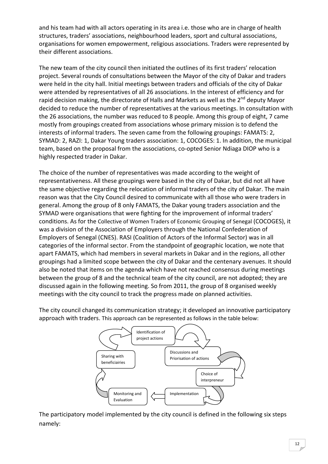and his team had with all actors operating in its area i.e. those who are in charge of health structures, traders' associations, neighbourhood leaders, sport and cultural associations, organisations for women empowerment, religious associations. Traders were represented by their different associations.

The new team of the city council then initiated the outlines of its first traders' relocation project. Several rounds of consultations between the Mayor of the city of Dakar and traders were held in the city hall. Initial meetings between traders and officials of the city of Dakar were attended by representatives of all 26 associations. In the interest of efficiency and for rapid decision making, the directorate of Halls and Markets as well as the 2<sup>nd</sup> deputy Mavor decided to reduce the number of representatives at the various meetings. In consultation with the 26 associations, the number was reduced to 8 people. Among this group of eight, 7 came mostly from groupings created from associations whose primary mission is to defend the interests of informal traders. The seven came from the following groupings: FAMATS: 2, SYMAD: 2, RAZI: 1, Dakar Young traders association: 1, COCOGES: 1. In addition, the municipal team, based on the proposal from the associations, co-opted Senior Ndiaga DIOP who is a highly respected trader in Dakar.

The choice of the number of representatives was made according to the weight of representativeness. All these groupings were based in the city of Dakar, but did not all have the same objective regarding the relocation of informal traders of the city of Dakar. The main reason was that the City Council desired to communicate with all those who were traders in general. Among the group of 8 only FAMATS, the Dakar young traders association and the SYMAD were organisations that were fighting for the improvement of informal traders' conditions. As for the Collective of Women Traders of Economic Grouping of Senegal (COCOGES), it was a division of the Association of Employers through the National Confederation of Employers of Senegal (CNES). RASI (Coalition of Actors of the Informal Sector) was in all categories of the informal sector. From the standpoint of geographic location, we note that apart FAMATS, which had members in several markets in Dakar and in the regions, all other groupings had a limited scope between the city of Dakar and the centenary avenues. It should also be noted that items on the agenda which have not reached consensus during meetings between the group of 8 and the technical team of the city council, are not adopted; they are discussed again in the following meeting. So from 2011, the group of 8 organised weekly meetings with the city council to track the progress made on planned activities.

The city council changed its communication strategy; it developed an innovative participatory approach with traders. This approach can be represented as follows in the table below:



The participatory model implemented by the city council is defined in the following six steps namely: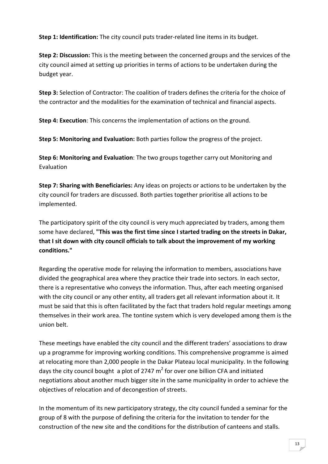**Step 1: Identification:** The city council puts trader‐related line items in its budget.

**Step 2: Discussion:** This is the meeting between the concerned groups and the services of the city council aimed at setting up priorities in terms of actions to be undertaken during the budget year.

**Step 3:** Selection of Contractor: The coalition of traders defines the criteria for the choice of the contractor and the modalities for the examination of technical and financial aspects.

**Step 4: Execution**: This concerns the implementation of actions on the ground.

**Step 5: Monitoring and Evaluation:** Both parties follow the progress of the project.

**Step 6: Monitoring and Evaluation**: The two groups together carry out Monitoring and Evaluation

**Step 7: Sharing with Beneficiaries:** Any ideas on projects or actions to be undertaken by the city council for traders are discussed. Both parties together prioritise all actions to be implemented.

The participatory spirit of the city council is very much appreciated by traders, among them some have declared, **"This was the first time since I started trading on the streets in Dakar, that I sit down with city council officials to talk about the improvement of my working conditions."**

Regarding the operative mode for relaying the information to members, associations have divided the geographical area where they practice their trade into sectors. In each sector, there is a representative who conveys the information. Thus, after each meeting organised with the city council or any other entity, all traders get all relevant information about it. It must be said that this is often facilitated by the fact that traders hold regular meetings among themselves in their work area. The tontine system which is very developed among them is the union belt.

These meetings have enabled the city council and the different traders' associations to draw up a programme for improving working conditions. This comprehensive programme is aimed at relocating more than 2,000 people in the Dakar Plateau local municipality. In the following days the city council bought a plot of 2747  $m^2$  for over one billion CFA and initiated negotiations about another much bigger site in the same municipality in order to achieve the objectives of relocation and of decongestion of streets.

In the momentum of its new participatory strategy, the city council funded a seminar for the group of 8 with the purpose of defining the criteria for the invitation to tender for the construction of the new site and the conditions for the distribution of canteens and stalls.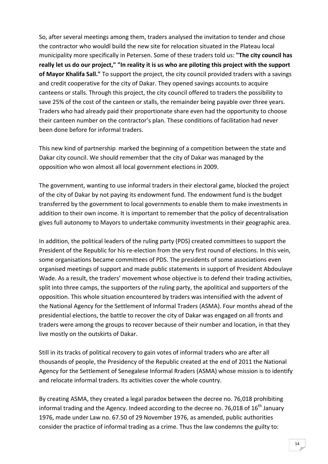So, after several meetings among them, traders analysed the invitation to tender and chose the contractor who wouldl build the new site for relocation situated in the Plateau local municipality more specifically in Petersen. Some of these traders told us: **"The city council has** really let us do our project," "In reality it is us who are piloting this project with the support **of Mayor Khalifa Sall."** To support the project, the city council provided traders with a savings and credit cooperative for the city of Dakar. They opened savings accounts to acquire canteens or stalls. Through this project, the city council offered to traders the possibility to save 25% of the cost of the canteen or stalls, the remainder being payable over three years. Traders who had already paid their proportionate share even had the opportunity to choose their canteen number on the contractor's plan. These conditions of facilitation had never been done before for informal traders.

This new kind of partnership marked the beginning of a competition between the state and Dakar city council. We should remember that the city of Dakar was managed by the opposition who won almost all local government elections in 2009.

The government, wanting to use informal traders in their electoral game, blocked the project of the city of Dakar by not paying its endowment fund. The endowment fund is the budget transferred by the government to local governments to enable them to make investments in addition to their own income. It is important to remember that the policy of decentralisation gives full autonomy to Mayors to undertake community investments in their geographic area.

In addition, the political leaders of the ruling party (PDS) created committees to support the President of the Republic for his re-election from the very first round of elections. In this vein, some organisations became committees of PDS. The presidents of some associations even organised meetings of support and made public statements in support of President Abdoulaye Wade. As a result, the traders' movement whose objective is to defend their trading activities, split into three camps, the supporters of the ruling party, the apolitical and supporters of the opposition. This whole situation encountered by traders was intensified with the advent of the National Agency for the Settlement of Informal Traders (ASMA). Four months ahead of the presidential elections, the battle to recover the city of Dakar was engaged on all fronts and traders were among the groups to recover because of their number and location, in that they live mostly on the outskirts of Dakar.

Still in its tracks of political recovery to gain votes of informal traders who are after all thousands of people, the Presidency of the Republic created at the end of 2011 the National Agency for the Settlement of Senegalese Informal Rraders (ASMA) whose mission is to identify and relocate informal traders. Its activities cover the whole country.

By creating ASMA, they created a legal paradox between the decree no. 76,018 prohibiting informal trading and the Agency. Indeed according to the decree no. 76,018 of  $16^{th}$  January 1976, made under Law no. 67.50 of 29 November 1976, as amended, public authorities consider the practice of informal trading as a crime. Thus the law condemns the guilty to: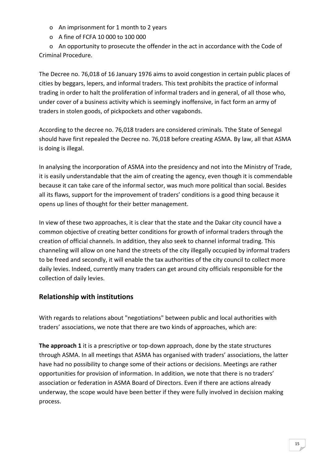- o An imprisonment for 1 month to 2 years
- o A fine of FCFA 10 000 to 100 000

 o An opportunity to prosecute the offender in the act in accordance with the Code of Criminal Procedure.

The Decree no. 76,018 of 16 January 1976 aims to avoid congestion in certain public places of cities by beggars, lepers, and informal traders. This text prohibits the practice of informal trading in order to halt the proliferation of informal traders and in general, of all those who, under cover of a business activity which is seemingly inoffensive, in fact form an army of traders in stolen goods, of pickpockets and other vagabonds.

According to the decree no. 76,018 traders are considered criminals. Tthe State of Senegal should have first repealed the Decree no. 76,018 before creating ASMA. By law, all that ASMA is doing is illegal.

In analysing the incorporation of ASMA into the presidency and not into the Ministry of Trade, it is easily understandable that the aim of creating the agency, even though it is commendable because it can take care of the informal sector, was much more political than social. Besides all its flaws, support for the improvement of traders' conditions is a good thing because it opens up lines of thought for their better management.

In view of these two approaches, it is clear that the state and the Dakar city council have a common objective of creating better conditions for growth of informal traders through the creation of official channels. In addition, they also seek to channel informal trading. This channeling will allow on one hand the streets of the city illegally occupied by informal traders to be freed and secondly, it will enable the tax authorities of the city council to collect more daily levies. Indeed, currently many traders can get around city officials responsible for the collection of daily levies.

### **Relationship with institutions**

With regards to relations about "negotiations" between public and local authorities with traders' associations, we note that there are two kinds of approaches, which are:

**The approach 1** it is a prescriptive or top‐down approach, done by the state structures through ASMA. In all meetings that ASMA has organised with traders' associations, the latter have had no possibility to change some of their actions or decisions. Meetings are rather opportunities for provision of information. In addition, we note that there is no traders' association or federation in ASMA Board of Directors. Even if there are actions already underway, the scope would have been better if they were fully involved in decision making process.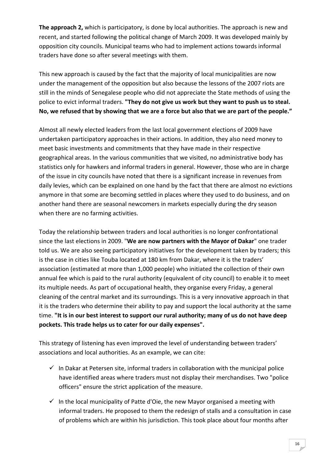**The approach 2,** which is participatory, is done by local authorities. The approach is new and recent, and started following the political change of March 2009. It was developed mainly by opposition city councils. Municipal teams who had to implement actions towards informal traders have done so after several meetings with them.

This new approach is caused by the fact that the majority of local municipalities are now under the management of the opposition but also because the lessons of the 2007 riots are still in the minds of Senegalese people who did not appreciate the State methods of using the police to evict informal traders. **"They do not give us work but they want to push us to steal.** No, we refused that by showing that we are a force but also that we are part of the people."

Almost all newly elected leaders from the last local government elections of 2009 have undertaken participatory approaches in their actions. In addition, they also need money to meet basic investments and commitments that they have made in their respective geographical areas. In the various communities that we visited, no administrative body has statistics only for hawkers and informal traders in general. However, those who are in charge of the issue in city councils have noted that there is a significant increase in revenues from daily levies, which can be explained on one hand by the fact that there are almost no evictions anymore in that some are becoming settled in places where they used to do business, and on another hand there are seasonal newcomers in markets especially during the dry season when there are no farming activities.

Today the relationship between traders and local authorities is no longer confrontational since the last elections in 2009. "**We are now partners with the Mayor of Dakar**" one trader told us. We are also seeing participatory initiatives for the development taken by traders; this is the case in cities like Touba located at 180 km from Dakar, where it is the traders' association (estimated at more than 1,000 people) who initiated the collection of their own annual fee which is paid to the rural authority (equivalent of city council) to enable it to meet its multiple needs. As part of occupational health, they organise every Friday, a general cleaning of the central market and its surroundings. This is a very innovative approach in that it is the traders who determine their ability to pay and support the local authority at the same time. **"It is in our best interest to support our rural authority; many of us do not have deep pockets. This trade helps us to cater for our daily expenses".**

This strategy of listening has even improved the level of understanding between traders' associations and local authorities. As an example, we can cite:

- $\checkmark$  In Dakar at Petersen site, informal traders in collaboration with the municipal police have identified areas where traders must not display their merchandises. Two "police officers" ensure the strict application of the measure.
- $\checkmark$  In the local municipality of Patte d'Oie, the new Mayor organised a meeting with informal traders. He proposed to them the redesign of stalls and a consultation in case of problems which are within his jurisdiction. This took place about four months after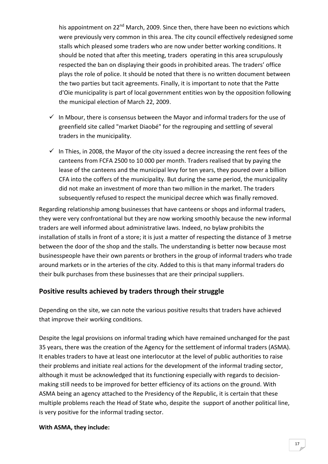his appointment on  $22^{nd}$  March, 2009. Since then, there have been no evictions which were previously very common in this area. The city council effectively redesigned some stalls which pleased some traders who are now under better working conditions. It should be noted that after this meeting, traders operating in this area scrupulously respected the ban on displaying their goods in prohibited areas. The traders' office plays the role of police. It should be noted that there is no written document between the two parties but tacit agreements. Finally, it is important to note that the Patte d'Oie municipality is part of local government entities won by the opposition following the municipal election of March 22, 2009.

- $\checkmark$  In Mbour, there is consensus between the Mayor and informal traders for the use of greenfield site called "market Diaobé" for the regrouping and settling of several traders in the municipality.
- $\checkmark$  In Thies, in 2008, the Mayor of the city issued a decree increasing the rent fees of the canteens from FCFA 2500 to 10 000 per month. Traders realised that by paying the lease of the canteens and the municipal levy for ten years, they poured over a billion CFA into the coffers of the municipality. But during the same period, the municipality did not make an investment of more than two million in the market. The traders subsequently refused to respect the municipal decree which was finally removed.

Regarding relationship among businesses that have canteens or shops and informal traders, they were very confrontational but they are now working smoothly because the new informal traders are well informed about administrative laws. Indeed, no bylaw prohibits the installation of stalls in front of a store; it is just a matter of respecting the distance of 3 metrse between the door of the shop and the stalls. The understanding is better now because most businesspeople have their own parents or brothers in the group of informal traders who trade around markets or in the arteries of the city. Added to this is that many informal traders do their bulk purchases from these businesses that are their principal suppliers.

### **Positive results achieved by traders through their struggle**

Depending on the site, we can note the various positive results that traders have achieved that improve their working conditions.

Despite the legal provisions on informal trading which have remained unchanged for the past 35 years, there was the creation of the Agency for the settlement of informal traders (ASMA). It enables traders to have at least one interlocutor at the level of public authorities to raise their problems and initiate real actions for the development of the informal trading sector, although it must be acknowledged that its functioning especially with regards to decision‐ making still needs to be improved for better efficiency of its actions on the ground. With ASMA being an agency attached to the Presidency of the Republic, it is certain that these multiple problems reach the Head of State who, despite the support of another political line, is very positive for the informal trading sector.

#### **With ASMA, they include:**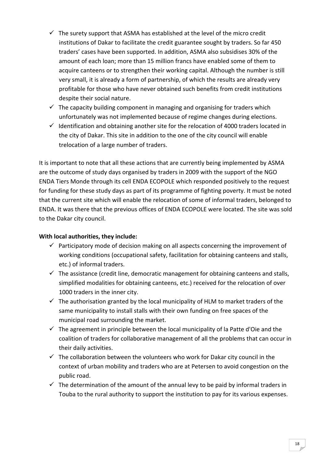- $\checkmark$  The surety support that ASMA has established at the level of the micro credit institutions of Dakar to facilitate the credit guarantee sought by traders. So far 450 traders' cases have been supported. In addition, ASMA also subsidises 30% of the amount of each loan; more than 15 million francs have enabled some of them to acquire canteens or to strengthen their working capital. Although the number is still very small, it is already a form of partnership, of which the results are already very profitable for those who have never obtained such benefits from credit institutions despite their social nature.
- $\checkmark$  The capacity building component in managing and organising for traders which unfortunately was not implemented because of regime changes during elections.
- $\checkmark$  Identification and obtaining another site for the relocation of 4000 traders located in the city of Dakar. This site in addition to the one of the city council will enable trelocation of a large number of traders.

It is important to note that all these actions that are currently being implemented by ASMA are the outcome of study days organised by traders in 2009 with the support of the NGO ENDA Tiers Monde through its cell ENDA ECOPOLE which responded positively to the request for funding for these study days as part of its programme of fighting poverty. It must be noted that the current site which will enable the relocation of some of informal traders, belonged to ENDA. It was there that the previous offices of ENDA ECOPOLE were located. The site was sold to the Dakar city council.

#### **With local authorities, they include:**

- $\checkmark$  Participatory mode of decision making on all aspects concerning the improvement of working conditions (occupational safety, facilitation for obtaining canteens and stalls, etc.) of informal traders.
- $\checkmark$  The assistance (credit line, democratic management for obtaining canteens and stalls, simplified modalities for obtaining canteens, etc.) received for the relocation of over 1000 traders in the inner city.
- $\checkmark$  The authorisation granted by the local municipality of HLM to market traders of the same municipality to install stalls with their own funding on free spaces of the municipal road surrounding the market.
- $\checkmark$  The agreement in principle between the local municipality of la Patte d'Oie and the coalition of traders for collaborative management of all the problems that can occur in their daily activities.
- $\checkmark$  The collaboration between the volunteers who work for Dakar city council in the context of urban mobility and traders who are at Petersen to avoid congestion on the public road.
- $\checkmark$  The determination of the amount of the annual levy to be paid by informal traders in Touba to the rural authority to support the institution to pay for its various expenses.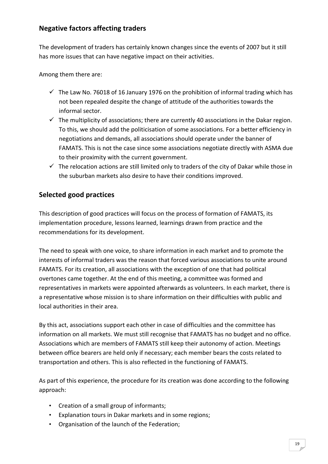### **Negative factors affecting traders**

The development of traders has certainly known changes since the events of 2007 but it still has more issues that can have negative impact on their activities.

Among them there are:

- $\checkmark$  The Law No. 76018 of 16 January 1976 on the prohibition of informal trading which has not been repealed despite the change of attitude of the authorities towards the informal sector.
- $\checkmark$  The multiplicity of associations; there are currently 40 associations in the Dakar region. To this, we should add the politicisation of some associations. For a better efficiency in negotiations and demands, all associations should operate under the banner of FAMATS. This is not the case since some associations negotiate directly with ASMA due to their proximity with the current government.
- $\checkmark$  The relocation actions are still limited only to traders of the city of Dakar while those in the suburban markets also desire to have their conditions improved.

### **Selected good practices**

This description of good practices will focus on the process of formation of FAMATS, its implementation procedure, lessons learned, learnings drawn from practice and the recommendations for its development.

The need to speak with one voice, to share information in each market and to promote the interests of informal traders was the reason that forced various associations to unite around FAMATS. For its creation, all associations with the exception of one that had political overtones came together. At the end of this meeting, a committee was formed and representatives in markets were appointed afterwards as volunteers. In each market, there is a representative whose mission is to share information on their difficulties with public and local authorities in their area.

By this act, associations support each other in case of difficulties and the committee has information on all markets. We must still recognise that FAMATS has no budget and no office. Associations which are members of FAMATS still keep their autonomy of action. Meetings between office bearers are held only if necessary; each member bears the costs related to transportation and others. This is also reflected in the functioning of FAMATS.

As part of this experience, the procedure for its creation was done according to the following approach:

- Creation of a small group of informants;
- Explanation tours in Dakar markets and in some regions;
- Organisation of the launch of the Federation;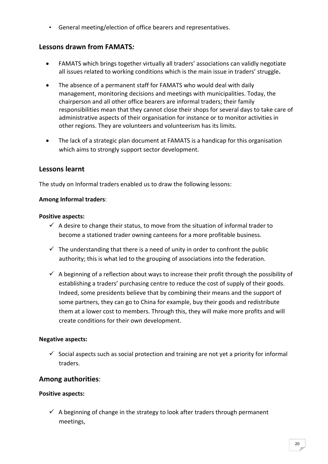• General meeting/election of office bearers and representatives.

### **Lessons drawn from FAMATS***:*

- FAMATS which brings together virtually all traders' associations can validly negotiate all issues related to working conditions which is the main issue in traders' struggle**.**
- The absence of a permanent staff for FAMATS who would deal with daily management, monitoring decisions and meetings with municipalities. Today, the chairperson and all other office bearers are informal traders; their family responsibilities mean that they cannot close their shops for several days to take care of administrative aspects of their organisation for instance or to monitor activities in other regions. They are volunteers and volunteerism has its limits.
- The lack of a strategic plan document at FAMATS is a handicap for this organisation which aims to strongly support sector development.

### **Lessons learnt**

The study on Informal traders enabled us to draw the following lessons:

#### **Among Informal traders**:

#### **Positive aspects:**

- $\checkmark$  A desire to change their status, to move from the situation of informal trader to become a stationed trader owning canteens for a more profitable business.
- $\checkmark$  The understanding that there is a need of unity in order to confront the public authority; this is what led to the grouping of associations into the federation.
- $\checkmark$  A beginning of a reflection about ways to increase their profit through the possibility of establishing a traders' purchasing centre to reduce the cost of supply of their goods. Indeed, some presidents believe that by combining their means and the support of some partners, they can go to China for example, buy their goods and redistribute them at a lower cost to members. Through this, they will make more profits and will create conditions for their own development.

#### **Negative aspects:**

 $\checkmark$  Social aspects such as social protection and training are not vet a priority for informal traders.

### **Among authorities**:

#### **Positive aspects:**

 $\checkmark$  A beginning of change in the strategy to look after traders through permanent meetings,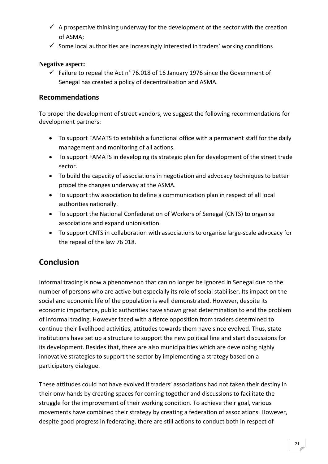- $\checkmark$  A prospective thinking underway for the development of the sector with the creation of ASMA;
- $\checkmark$  Some local authorities are increasingly interested in traders' working conditions

#### **Negative aspect:**

 $\checkmark$  Failure to repeal the Act n° 76.018 of 16 January 1976 since the Government of Senegal has created a policy of decentralisation and ASMA.

### **Recommendations**

To propel the development of street vendors, we suggest the following recommendations for development partners:

- To support FAMATS to establish a functional office with a permanent staff for the daily management and monitoring of all actions.
- To support FAMATS in developing its strategic plan for development of the street trade sector.
- To build the capacity of associations in negotiation and advocacy techniques to better propel the changes underway at the ASMA.
- To support thw association to define a communication plan in respect of all local authorities nationally.
- To support the National Confederation of Workers of Senegal (CNTS) to organise associations and expand unionisation.
- To support CNTS in collaboration with associations to organise large‐scale advocacy for the repeal of the law 76 018.

## **Conclusion**

Informal trading is now a phenomenon that can no longer be ignored in Senegal due to the number of persons who are active but especially its role of social stabiliser. Its impact on the social and economic life of the population is well demonstrated. However, despite its economic importance, public authorities have shown great determination to end the problem of informal trading. However faced with a fierce opposition from traders determined to continue their livelihood activities, attitudes towards them have since evolved. Thus, state institutions have set up a structure to support the new political line and start discussions for its development. Besides that, there are also municipalities which are developing highly innovative strategies to support the sector by implementing a strategy based on a participatory dialogue.

These attitudes could not have evolved if traders' associations had not taken their destiny in their onw hands by creating spaces for coming together and discussions to facilitate the struggle for the improvement of their working condition. To achieve their goal, various movements have combined their strategy by creating a federation of associations. However, despite good progress in federating, there are still actions to conduct both in respect of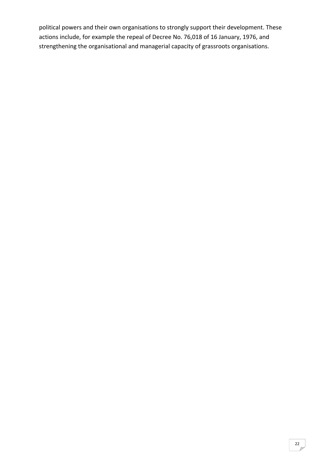political powers and their own organisations to strongly support their development. These actions include, for example the repeal of Decree No. 76,018 of 16 January, 1976, and strengthening the organisational and managerial capacity of grassroots organisations.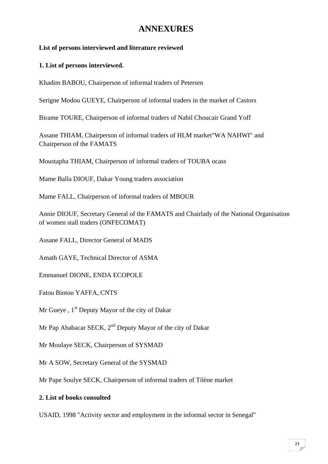# **ANNEXURES**

#### **List of persons interviewed and literature reviewed**

#### **1. List of persons interviewed.**

Khadim BABOU, Chairperson of informal traders of Petersen

Serigne Modou GUEYE, Chairperson of informal traders in the market of Castors

Birame TOURE, Chairperson of informal traders of Nabil Choucair Grand Yoff

Assane THIAM, Chairperson of informal traders of HLM market"WA NAHWI" and Chairperson of the FAMATS

Moustapha THIAM, Chairperson of informal traders of TOUBA ocass

Mame Balla DIOUF, Dakar Young traders association

Mame FALL, Chairperson of informal traders of MBOUR

Annie DIOUF, Secretary General of the FAMATS and Chairlady of the National Organisation of women stall traders (ONFECOMAT)

Assane FALL, Director General of MADS

Amath GAYE, Technical Director of ASMA

Emmanuel DIONE, ENDA ECOPOLE

Fatou Bintou YAFFA, CNTS

Mr Gueye,  $1<sup>st</sup>$  Deputy Mayor of the city of Dakar

Mr Pap Ababacar SECK, 2<sup>nd</sup> Deputy Mayor of the city of Dakar

Mr Moulaye SECK, Chairperson of SYSMAD

Mr A SOW, Secretary General of the SYSMAD

Mr Pape Soulye SECK, Chairperson of informal traders of Tilène market

#### **2. List of books consulted**

USAID, 1998 "Activity sector and employment in the informal sector in Senegal"